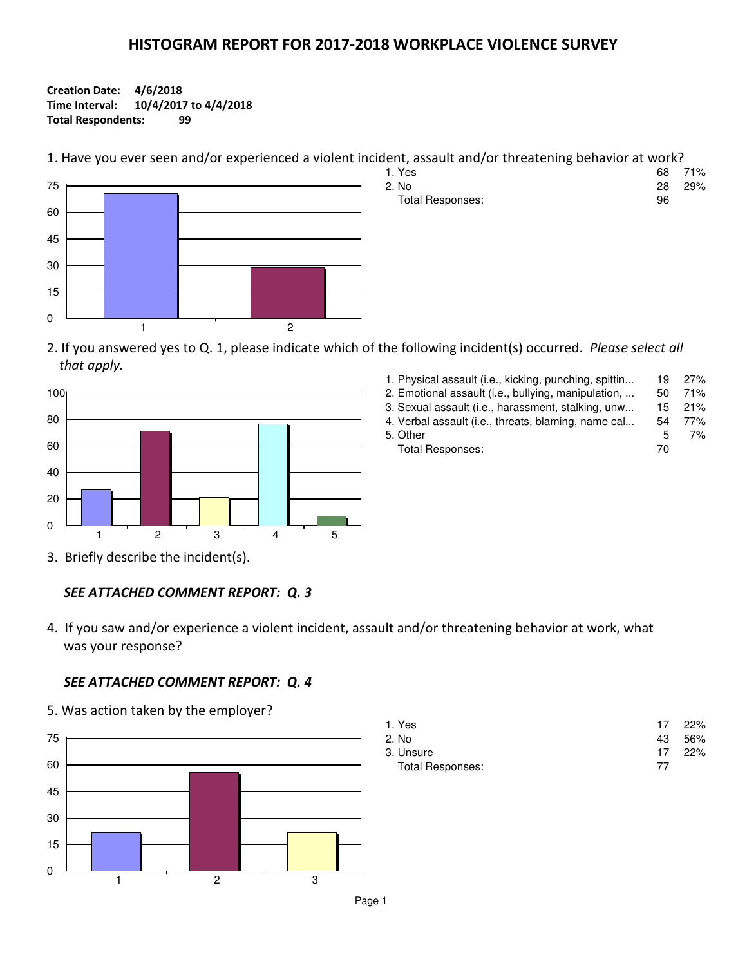## HISTOGRAM REPORT FOR 2017-2018 WORKPLACE VIOLENCE SURVEY

## Creation Date: 4/6/2018 Time Interval: 10/4/2017 to 4/4/2018 Total Respondents: 99

1. Have you ever seen and/or experienced a violent incident, assault and/or threatening behavior at work?



| 1. Yes           |    | 68 71% |
|------------------|----|--------|
| 2. No            |    | 28 29% |
| Total Responses: | 96 |        |

2. If you answered yes to Q. 1, please indicate which of the following incident(s) occurred. Please select all that apply.



| 1. Physical assault (i.e., kicking, punching, spittin | 19  | 27% |
|-------------------------------------------------------|-----|-----|
| 2. Emotional assault (i.e., bullying, manipulation,   | 50  | 71% |
| 3. Sexual assault (i.e., harassment, stalking, unw    | 15. | 21% |
| 4. Verbal assault (i.e., threats, blaming, name cal   | 54  | 77% |
| 5. Other                                              | 5   | 7%  |
| Total Responses:                                      | 70  |     |
|                                                       |     |     |

3. Briefly describe the incident(s).

## SEE ATTACHED COMMENT REPORT: Q. 3

4. If you saw and/or experience a violent incident, assault and/or threatening behavior at work, what was your response?

## SEE ATTACHED COMMENT REPORT: Q. 4

5. Was action taken by the employer?



| 1. Yes           |    | 17 22% |
|------------------|----|--------|
| 2. No            |    | 43 56% |
| 3. Unsure        |    | 17 22% |
| Total Responses: | 77 |        |

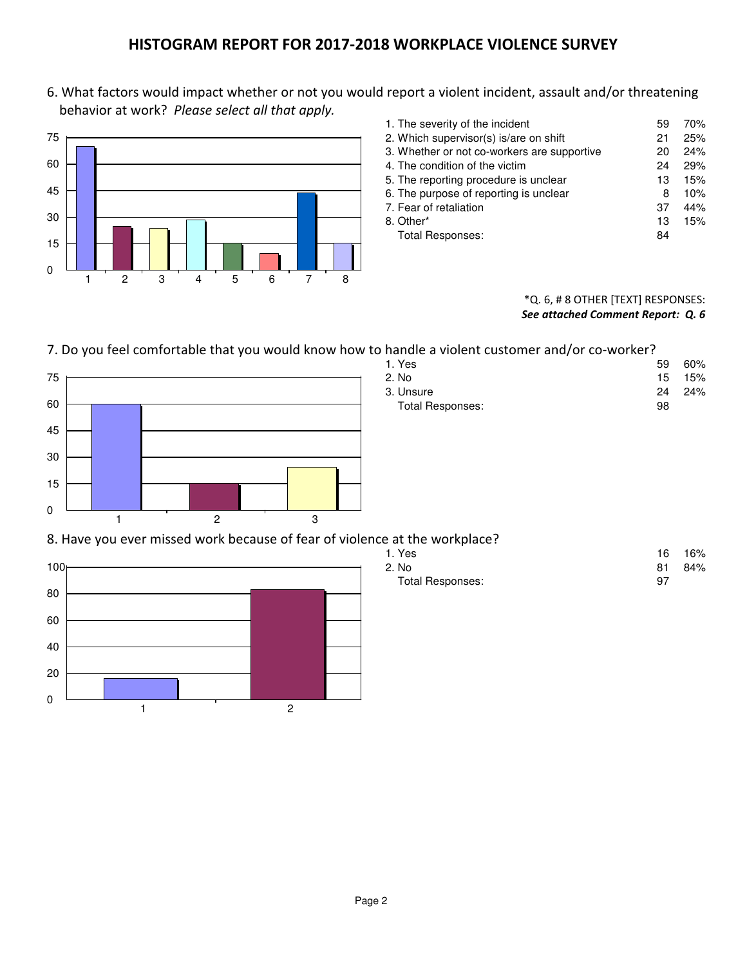## HISTOGRAM REPORT FOR 2017-2018 WORKPLACE VIOLENCE SURVEY

6. What factors would impact whether or not you would report a violent incident, assault and/or threatening behavior at work? Please select all that apply.



| 1. The severity of the incident             | 59 | 70% |
|---------------------------------------------|----|-----|
| 2. Which supervisor(s) is/are on shift      | 21 | 25% |
| 3. Whether or not co-workers are supportive | 20 | 24% |
| 4. The condition of the victim              | 24 | 29% |
| 5. The reporting procedure is unclear       | 13 | 15% |
| 6. The purpose of reporting is unclear      | 8  | 10% |
| 7. Fear of retaliation                      | 37 | 44% |
| 8. Other*                                   | 13 | 15% |
| <b>Total Responses:</b>                     | 84 |     |

## \*Q. 6, # 8 OTHER [TEXT] RESPONSES: See attached Comment Report: Q. 6

## 7. Do you feel comfortable that you would know how to handle a violent customer and/or co-worker?



| handle a violent customer and/or co-worker? |     |                 |
|---------------------------------------------|-----|-----------------|
| 1. Yes                                      | 59. | 60%             |
| 2. No                                       |     | $15 \quad 15\%$ |
| 3. Unsure                                   |     | 24 24%          |
| Total Responses:                            | 98  |                 |

## 8. Have you ever missed work because of fear of violence at the workplace?



| 1. Yes           |    | 16 16% |
|------------------|----|--------|
| 2. No            | 81 | 84%    |
| Total Responses: | 97 |        |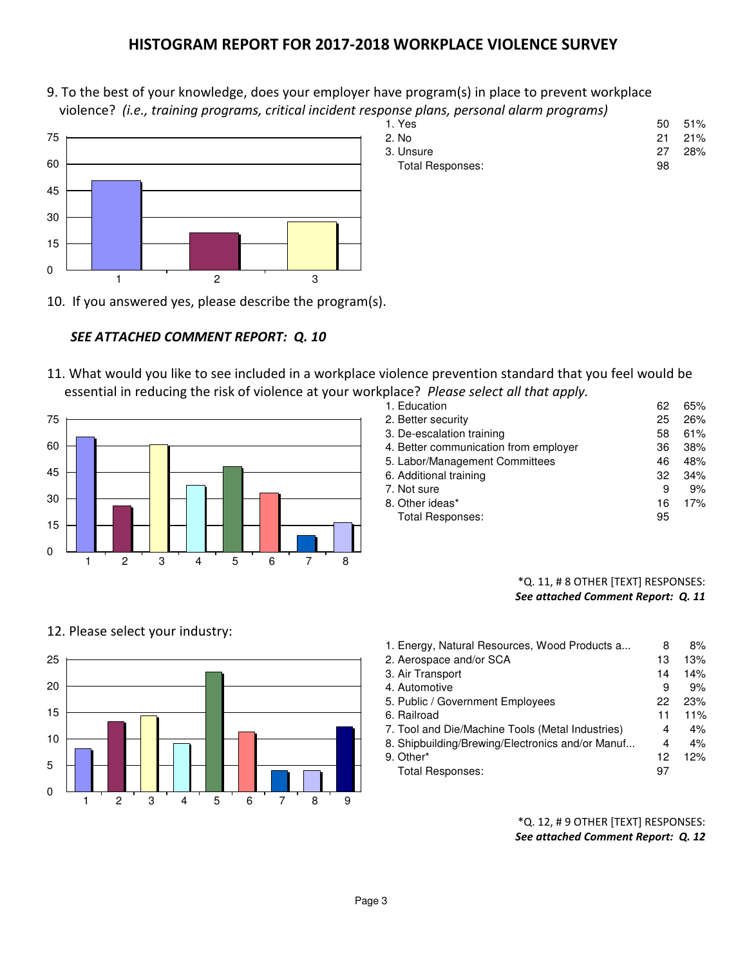## HISTOGRAM REPORT FOR 2017-2018 WORKPLACE VIOLENCE SURVEY

9. To the best of your knowledge, does your employer have program(s) in place to prevent workplace violence? (i.e., training programs, critical incident response plans, personal alarm programs)<br>1. Yes



1. Yes 50 51% 2. No 21 21% 3. Unsure 27 28% Total Responses: 98

10. If you answered yes, please describe the program(s).

## SEE ATTACHED COMMENT REPORT: Q. 10

11. What would you like to see included in a workplace violence prevention standard that you feel would be essential in reducing the risk of violence at your workplace? Please select all that apply.



| Jiace: Fieuse select uil thut upply.  |    |     |
|---------------------------------------|----|-----|
| 1. Education                          | 62 | 65% |
| 2. Better security                    | 25 | 26% |
| 3. De-escalation training             | 58 | 61% |
| 4. Better communication from employer | 36 | 38% |
| 5. Labor/Management Committees        | 46 | 48% |
| 6. Additional training                | 32 | 34% |
| 7. Not sure                           | 9  | 9%  |
| 8. Other ideas*                       | 16 | 17% |
| <b>Total Responses:</b>               | 95 |     |
|                                       |    |     |

## \*Q. 11, # 8 OTHER [TEXT] RESPONSES: See attached Comment Report: Q. 11



1. Energy, Natural Resources, Wood Products a... 8 8% 2. Aerospace and/or SCA 13 13% 3. Air Transport 14 14% 4. Automotive and the set of the set of the set of the set of the set of the set of the set of the set of the set of the set of the set of the set of the set of the set of the set of the set of the set of the set of the se 5. Public / Government Employees 22 23% 6. Railroad 11 11% 7. Tool and Die/Machine Tools (Metal Industries) 4 4% 8. Shipbuilding/Brewing/Electronics and/or Manuf... 4 4% 9. Other\* 12 12% Total Responses: 97

> \*Q. 12, # 9 OTHER [TEXT] RESPONSES: See attached Comment Report: Q. 12

# 12. Please select your industry:

5

0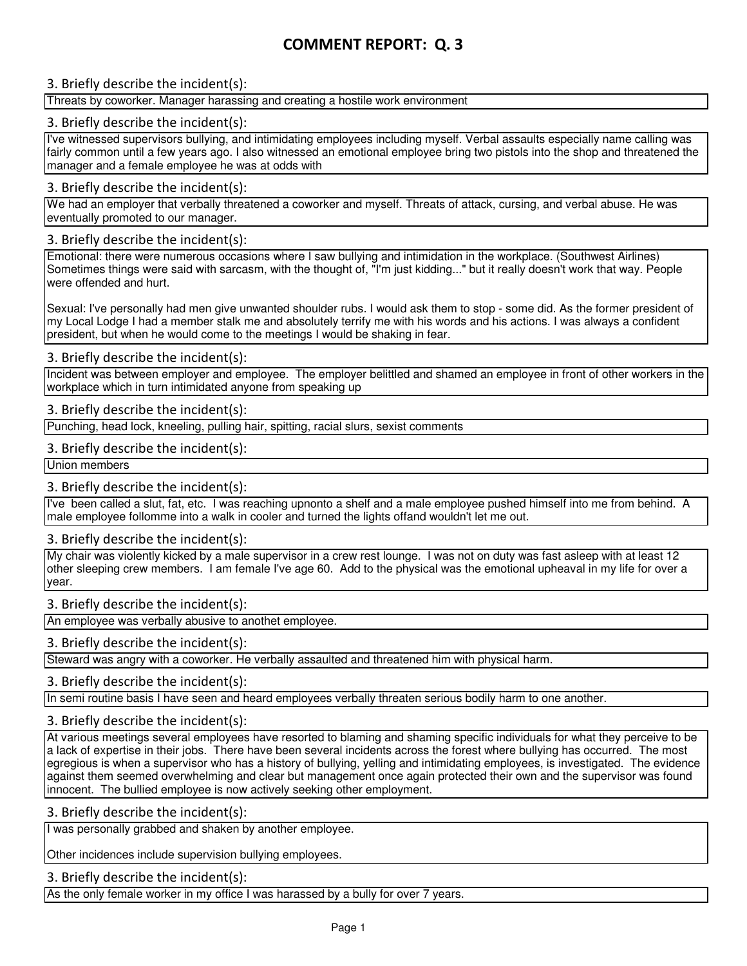## 3. Briefly describe the incident(s):

#### Threats by coworker. Manager harassing and creating a hostile work environment

## 3. Briefly describe the incident(s):

I've witnessed supervisors bullying, and intimidating employees including myself. Verbal assaults especially name calling was fairly common until a few years ago. I also witnessed an emotional employee bring two pistols into the shop and threatened the manager and a female employee he was at odds with

#### 3. Briefly describe the incident(s):

We had an employer that verbally threatened a coworker and myself. Threats of attack, cursing, and verbal abuse. He was eventually promoted to our manager.

#### 3. Briefly describe the incident(s):

Emotional: there were numerous occasions where I saw bullying and intimidation in the workplace. (Southwest Airlines) Sometimes things were said with sarcasm, with the thought of, "I'm just kidding..." but it really doesn't work that way. People were offended and hurt.

Sexual: I've personally had men give unwanted shoulder rubs. I would ask them to stop - some did. As the former president of my Local Lodge I had a member stalk me and absolutely terrify me with his words and his actions. I was always a confident president, but when he would come to the meetings I would be shaking in fear.

## 3. Briefly describe the incident(s):

Incident was between employer and employee. The employer belittled and shamed an employee in front of other workers in the workplace which in turn intimidated anyone from speaking up

## 3. Briefly describe the incident(s):

Punching, head lock, kneeling, pulling hair, spitting, racial slurs, sexist comments

#### 3. Briefly describe the incident(s):

Union members

## 3. Briefly describe the incident(s):

I've been called a slut, fat, etc. I was reaching upnonto a shelf and a male employee pushed himself into me from behind. A male employee follomme into a walk in cooler and turned the lights offand wouldn't let me out.

## 3. Briefly describe the incident(s):

My chair was violently kicked by a male supervisor in a crew rest lounge. I was not on duty was fast asleep with at least 12 other sleeping crew members. I am female I've age 60. Add to the physical was the emotional upheaval in my life for over a year.

## 3. Briefly describe the incident(s):

An employee was verbally abusive to anothet employee.

## 3. Briefly describe the incident(s):

Steward was angry with a coworker. He verbally assaulted and threatened him with physical harm.

## 3. Briefly describe the incident(s):

In semi routine basis I have seen and heard employees verbally threaten serious bodily harm to one another.

#### 3. Briefly describe the incident(s):

At various meetings several employees have resorted to blaming and shaming specific individuals for what they perceive to be a lack of expertise in their jobs. There have been several incidents across the forest where bullying has occurred. The most egregious is when a supervisor who has a history of bullying, yelling and intimidating employees, is investigated. The evidence against them seemed overwhelming and clear but management once again protected their own and the supervisor was found innocent. The bullied employee is now actively seeking other employment.

## 3. Briefly describe the incident(s):

I was personally grabbed and shaken by another employee.

Other incidences include supervision bullying employees.

3. Briefly describe the incident(s):

As the only female worker in my office I was harassed by a bully for over 7 years.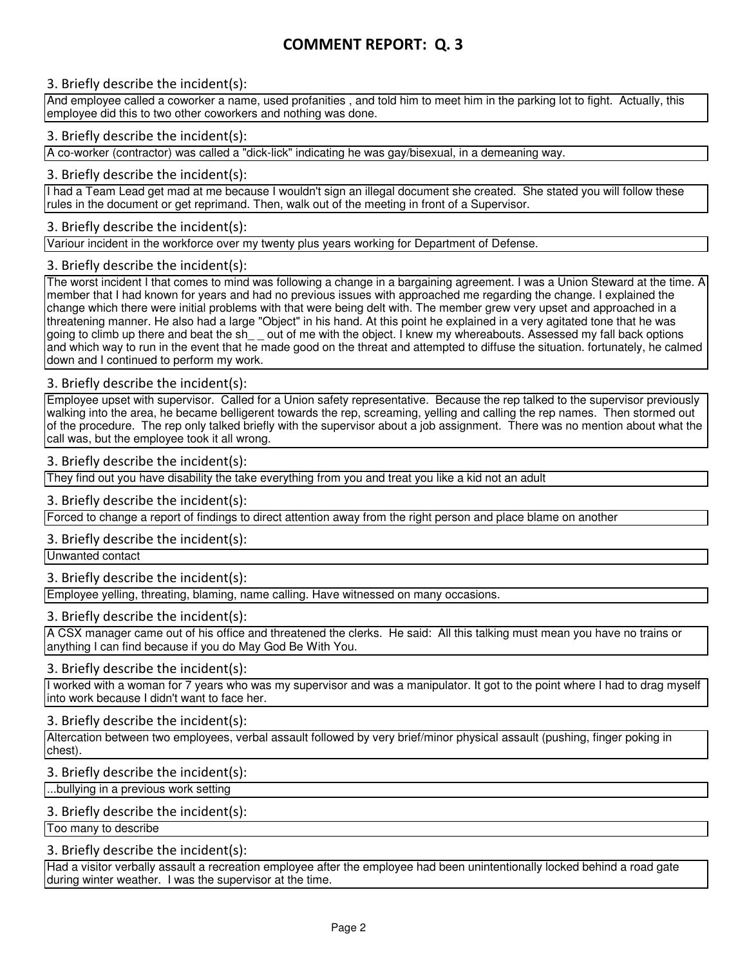## 3. Briefly describe the incident(s):

And employee called a coworker a name, used profanities , and told him to meet him in the parking lot to fight. Actually, this employee did this to two other coworkers and nothing was done.

## 3. Briefly describe the incident(s):

A co-worker (contractor) was called a "dick-lick" indicating he was gay/bisexual, in a demeaning way.

## 3. Briefly describe the incident(s):

I had a Team Lead get mad at me because I wouldn't sign an illegal document she created. She stated you will follow these rules in the document or get reprimand. Then, walk out of the meeting in front of a Supervisor.

## 3. Briefly describe the incident(s):

Variour incident in the workforce over my twenty plus years working for Department of Defense.

## 3. Briefly describe the incident(s):

The worst incident I that comes to mind was following a change in a bargaining agreement. I was a Union Steward at the time. A member that I had known for years and had no previous issues with approached me regarding the change. I explained the change which there were initial problems with that were being delt with. The member grew very upset and approached in a threatening manner. He also had a large "Object" in his hand. At this point he explained in a very agitated tone that he was going to climb up there and beat the sh\_\_ out of me with the object. I knew my whereabouts. Assessed my fall back options and which way to run in the event that he made good on the threat and attempted to diffuse the situation. fortunately, he calmed down and I continued to perform my work.

## 3. Briefly describe the incident(s):

Employee upset with supervisor. Called for a Union safety representative. Because the rep talked to the supervisor previously walking into the area, he became belligerent towards the rep, screaming, yelling and calling the rep names. Then stormed out of the procedure. The rep only talked briefly with the supervisor about a job assignment. There was no mention about what the call was, but the employee took it all wrong.

## 3. Briefly describe the incident(s):

They find out you have disability the take everything from you and treat you like a kid not an adult

## 3. Briefly describe the incident(s):

Forced to change a report of findings to direct attention away from the right person and place blame on another

## 3. Briefly describe the incident(s):

Unwanted contact

## 3. Briefly describe the incident(s):

Employee yelling, threating, blaming, name calling. Have witnessed on many occasions.

## 3. Briefly describe the incident(s):

A CSX manager came out of his office and threatened the clerks. He said: All this talking must mean you have no trains or anything I can find because if you do May God Be With You.

## 3. Briefly describe the incident(s):

I worked with a woman for 7 years who was my supervisor and was a manipulator. It got to the point where I had to drag myself into work because I didn't want to face her.

## 3. Briefly describe the incident(s):

Altercation between two employees, verbal assault followed by very brief/minor physical assault (pushing, finger poking in chest).

## 3. Briefly describe the incident(s):

...bullying in a previous work setting

## 3. Briefly describe the incident(s):

Too many to describe

## 3. Briefly describe the incident(s):

Had a visitor verbally assault a recreation employee after the employee had been unintentionally locked behind a road gate during winter weather. I was the supervisor at the time.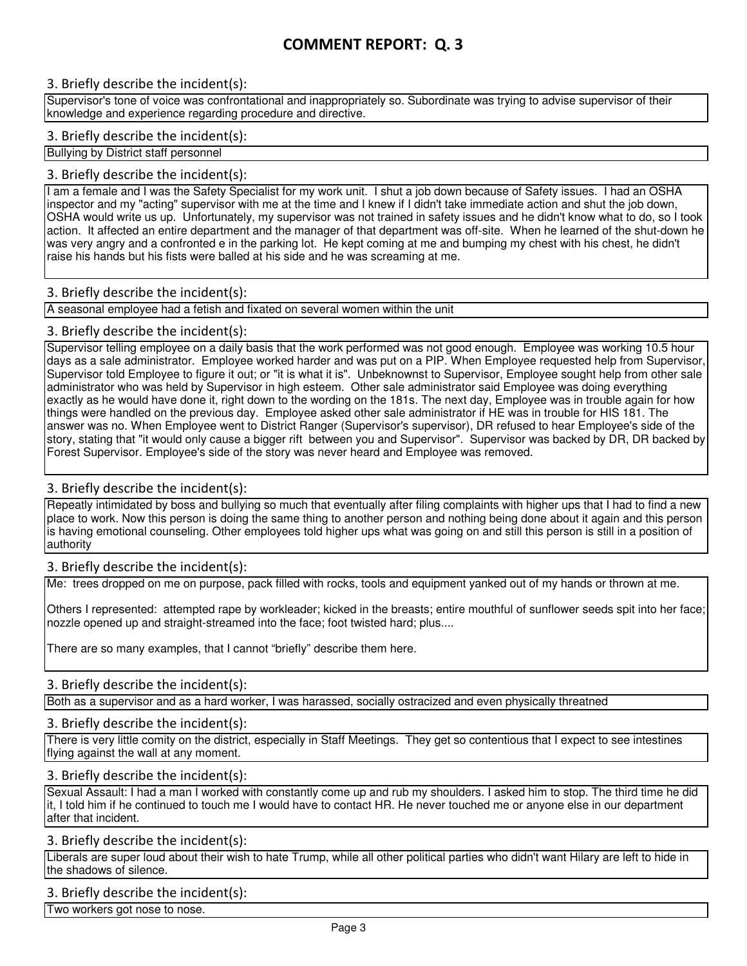## 3. Briefly describe the incident(s):

Supervisor's tone of voice was confrontational and inappropriately so. Subordinate was trying to advise supervisor of their knowledge and experience regarding procedure and directive.

## 3. Briefly describe the incident(s):

Bullying by District staff personnel

## 3. Briefly describe the incident(s):

I am a female and I was the Safety Specialist for my work unit. I shut a job down because of Safety issues. I had an OSHA inspector and my "acting" supervisor with me at the time and I knew if I didn't take immediate action and shut the job down, OSHA would write us up. Unfortunately, my supervisor was not trained in safety issues and he didn't know what to do, so I took action. It affected an entire department and the manager of that department was off-site. When he learned of the shut-down he was very angry and a confronted e in the parking lot. He kept coming at me and bumping my chest with his chest, he didn't raise his hands but his fists were balled at his side and he was screaming at me.

## 3. Briefly describe the incident(s):

A seasonal employee had a fetish and fixated on several women within the unit

## 3. Briefly describe the incident(s):

Supervisor telling employee on a daily basis that the work performed was not good enough. Employee was working 10.5 hour days as a sale administrator. Employee worked harder and was put on a PIP. When Employee requested help from Supervisor, Supervisor told Employee to figure it out; or "it is what it is". Unbeknownst to Supervisor, Employee sought help from other sale administrator who was held by Supervisor in high esteem. Other sale administrator said Employee was doing everything exactly as he would have done it, right down to the wording on the 181s. The next day, Employee was in trouble again for how things were handled on the previous day. Employee asked other sale administrator if HE was in trouble for HIS 181. The answer was no. When Employee went to District Ranger (Supervisor's supervisor), DR refused to hear Employee's side of the story, stating that "it would only cause a bigger rift between you and Supervisor". Supervisor was backed by DR, DR backed by Forest Supervisor. Employee's side of the story was never heard and Employee was removed.

## 3. Briefly describe the incident(s):

Repeatly intimidated by boss and bullying so much that eventually after filing complaints with higher ups that I had to find a new place to work. Now this person is doing the same thing to another person and nothing being done about it again and this person is having emotional counseling. Other employees told higher ups what was going on and still this person is still in a position of authority

## 3. Briefly describe the incident(s):

Me: trees dropped on me on purpose, pack filled with rocks, tools and equipment yanked out of my hands or thrown at me.

Others I represented: attempted rape by workleader; kicked in the breasts; entire mouthful of sunflower seeds spit into her face; nozzle opened up and straight-streamed into the face; foot twisted hard; plus....

There are so many examples, that I cannot "briefly" describe them here.

## 3. Briefly describe the incident(s):

Both as a supervisor and as a hard worker, I was harassed, socially ostracized and even physically threatned

## 3. Briefly describe the incident(s):

There is very little comity on the district, especially in Staff Meetings. They get so contentious that I expect to see intestines flying against the wall at any moment.

## 3. Briefly describe the incident(s):

Sexual Assault: I had a man I worked with constantly come up and rub my shoulders. I asked him to stop. The third time he did it, I told him if he continued to touch me I would have to contact HR. He never touched me or anyone else in our department after that incident.

## 3. Briefly describe the incident(s):

Liberals are super loud about their wish to hate Trump, while all other political parties who didn't want Hilary are left to hide in the shadows of silence.

## 3. Briefly describe the incident(s):

Two workers got nose to nose.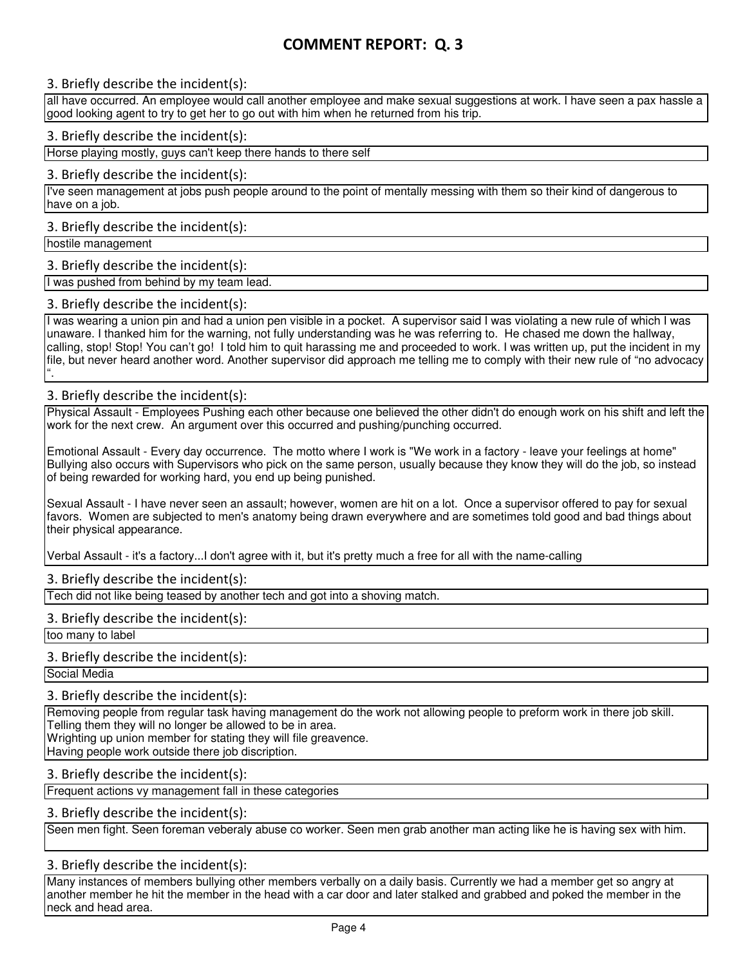## 3. Briefly describe the incident(s):

all have occurred. An employee would call another employee and make sexual suggestions at work. I have seen a pax hassle a good looking agent to try to get her to go out with him when he returned from his trip.

#### 3. Briefly describe the incident(s):

Horse playing mostly, guys can't keep there hands to there self

#### 3. Briefly describe the incident(s):

I've seen management at jobs push people around to the point of mentally messing with them so their kind of dangerous to have on a job.

#### 3. Briefly describe the incident(s):

hostile management

## 3. Briefly describe the incident(s):

I was pushed from behind by my team lead.

#### 3. Briefly describe the incident(s):

I was wearing a union pin and had a union pen visible in a pocket. A supervisor said I was violating a new rule of which I was unaware. I thanked him for the warning, not fully understanding was he was referring to. He chased me down the hallway, calling, stop! Stop! You can't go! I told him to quit harassing me and proceeded to work. I was written up, put the incident in my file, but never heard another word. Another supervisor did approach me telling me to comply with their new rule of "no advocacy ".

## 3. Briefly describe the incident(s):

Physical Assault - Employees Pushing each other because one believed the other didn't do enough work on his shift and left the work for the next crew. An argument over this occurred and pushing/punching occurred.

Emotional Assault - Every day occurrence. The motto where I work is "We work in a factory - leave your feelings at home" Bullying also occurs with Supervisors who pick on the same person, usually because they know they will do the job, so instead of being rewarded for working hard, you end up being punished.

Sexual Assault - I have never seen an assault; however, women are hit on a lot. Once a supervisor offered to pay for sexual favors. Women are subjected to men's anatomy being drawn everywhere and are sometimes told good and bad things about their physical appearance.

Verbal Assault - it's a factory...I don't agree with it, but it's pretty much a free for all with the name-calling

#### 3. Briefly describe the incident(s):

Tech did not like being teased by another tech and got into a shoving match.

## 3. Briefly describe the incident(s):

too many to label

## 3. Briefly describe the incident(s):

Social Media

## 3. Briefly describe the incident(s):

Removing people from regular task having management do the work not allowing people to preform work in there job skill. Telling them they will no longer be allowed to be in area. Wrighting up union member for stating they will file greavence. Having people work outside there job discription.

## 3. Briefly describe the incident(s):

Frequent actions vy management fall in these categories

#### 3. Briefly describe the incident(s):

Seen men fight. Seen foreman veberaly abuse co worker. Seen men grab another man acting like he is having sex with him.

## 3. Briefly describe the incident(s):

Many instances of members bullying other members verbally on a daily basis. Currently we had a member get so angry at another member he hit the member in the head with a car door and later stalked and grabbed and poked the member in the neck and head area.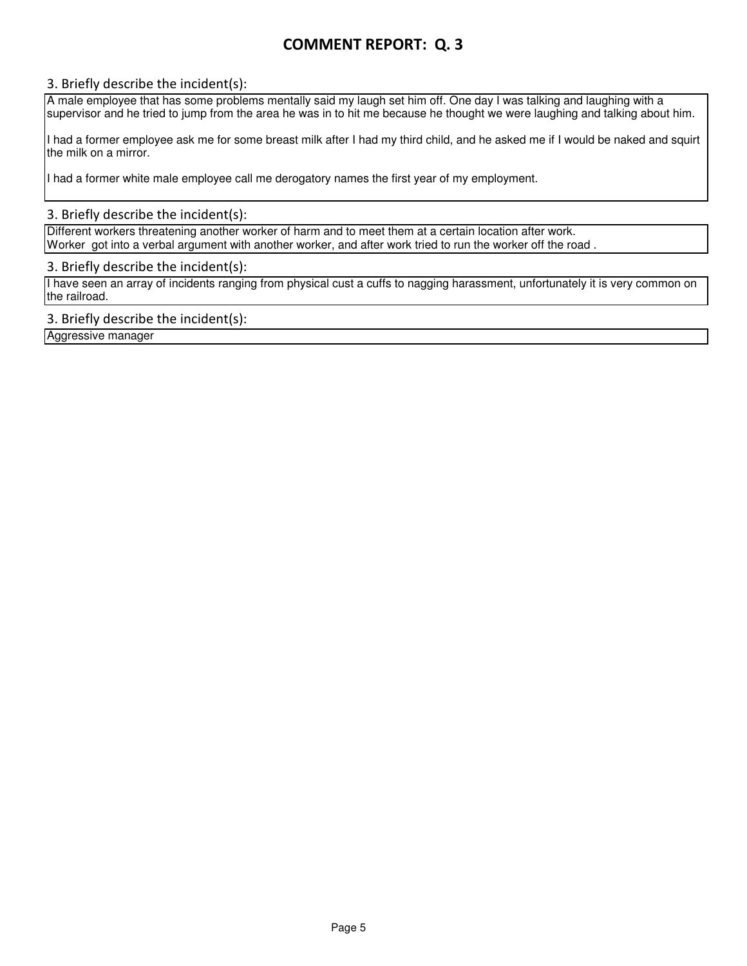## 3. Briefly describe the incident(s):

A male employee that has some problems mentally said my laugh set him off. One day I was talking and laughing with a supervisor and he tried to jump from the area he was in to hit me because he thought we were laughing and talking about him.

I had a former employee ask me for some breast milk after I had my third child, and he asked me if I would be naked and squirt the milk on a mirror.

I had a former white male employee call me derogatory names the first year of my employment.

## 3. Briefly describe the incident(s):

Different workers threatening another worker of harm and to meet them at a certain location after work. Worker got into a verbal argument with another worker, and after work tried to run the worker off the road .

#### 3. Briefly describe the incident(s):

I have seen an array of incidents ranging from physical cust a cuffs to nagging harassment, unfortunately it is very common on the railroad.

## 3. Briefly describe the incident(s):

Aggressive manager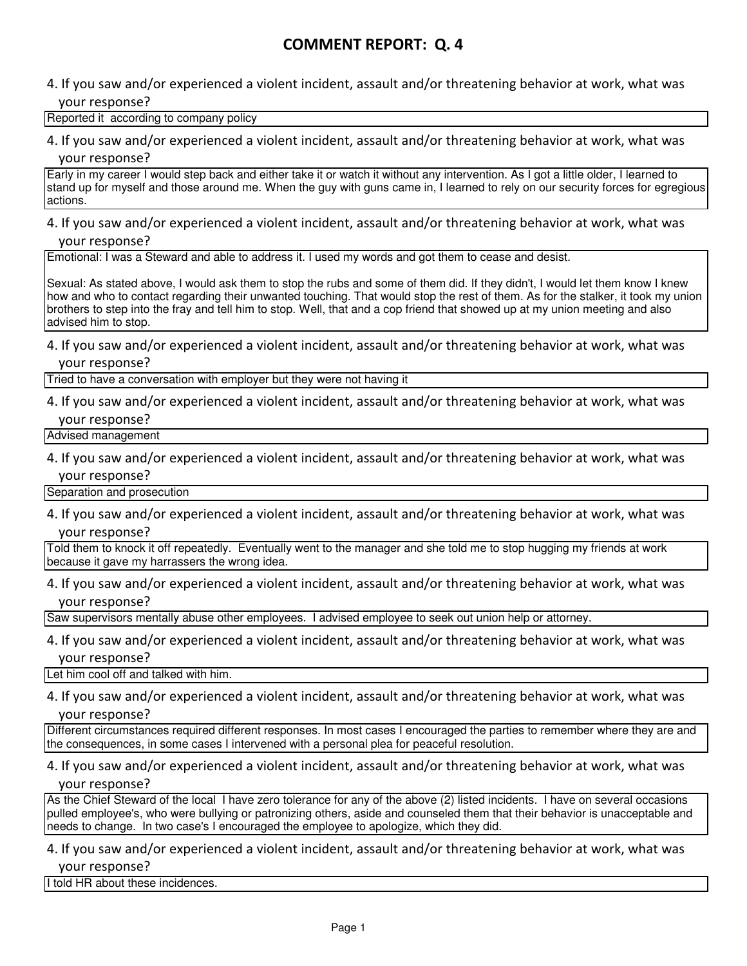## 4. If you saw and/or experienced a violent incident, assault and/or threatening behavior at work, what was your response?

## Reported it according to company policy

## 4. If you saw and/or experienced a violent incident, assault and/or threatening behavior at work, what was

## your response?

Early in my career I would step back and either take it or watch it without any intervention. As I got a little older, I learned to stand up for myself and those around me. When the guy with guns came in, I learned to rely on our security forces for egregious actions.

## 4. If you saw and/or experienced a violent incident, assault and/or threatening behavior at work, what was your response?

Emotional: I was a Steward and able to address it. I used my words and got them to cease and desist.

Sexual: As stated above, I would ask them to stop the rubs and some of them did. If they didn't, I would let them know I knew how and who to contact regarding their unwanted touching. That would stop the rest of them. As for the stalker, it took my union brothers to step into the fray and tell him to stop. Well, that and a cop friend that showed up at my union meeting and also advised him to stop.

## 4. If you saw and/or experienced a violent incident, assault and/or threatening behavior at work, what was your response?

Tried to have a conversation with employer but they were not having it

## 4. If you saw and/or experienced a violent incident, assault and/or threatening behavior at work, what was your response?

Advised management

## 4. If you saw and/or experienced a violent incident, assault and/or threatening behavior at work, what was your response?

Separation and prosecution

4. If you saw and/or experienced a violent incident, assault and/or threatening behavior at work, what was your response?

Told them to knock it off repeatedly. Eventually went to the manager and she told me to stop hugging my friends at work because it gave my harrassers the wrong idea.

4. If you saw and/or experienced a violent incident, assault and/or threatening behavior at work, what was your response?

Saw supervisors mentally abuse other employees. I advised employee to seek out union help or attorney.

4. If you saw and/or experienced a violent incident, assault and/or threatening behavior at work, what was your response?

Let him cool off and talked with him.

4. If you saw and/or experienced a violent incident, assault and/or threatening behavior at work, what was

your response?

Different circumstances required different responses. In most cases I encouraged the parties to remember where they are and the consequences, in some cases I intervened with a personal plea for peaceful resolution.

## 4. If you saw and/or experienced a violent incident, assault and/or threatening behavior at work, what was your response?

As the Chief Steward of the local I have zero tolerance for any of the above (2) listed incidents. I have on several occasions pulled employee's, who were bullying or patronizing others, aside and counseled them that their behavior is unacceptable and needs to change. In two case's I encouraged the employee to apologize, which they did.

## 4. If you saw and/or experienced a violent incident, assault and/or threatening behavior at work, what was your response?

I told HR about these incidences.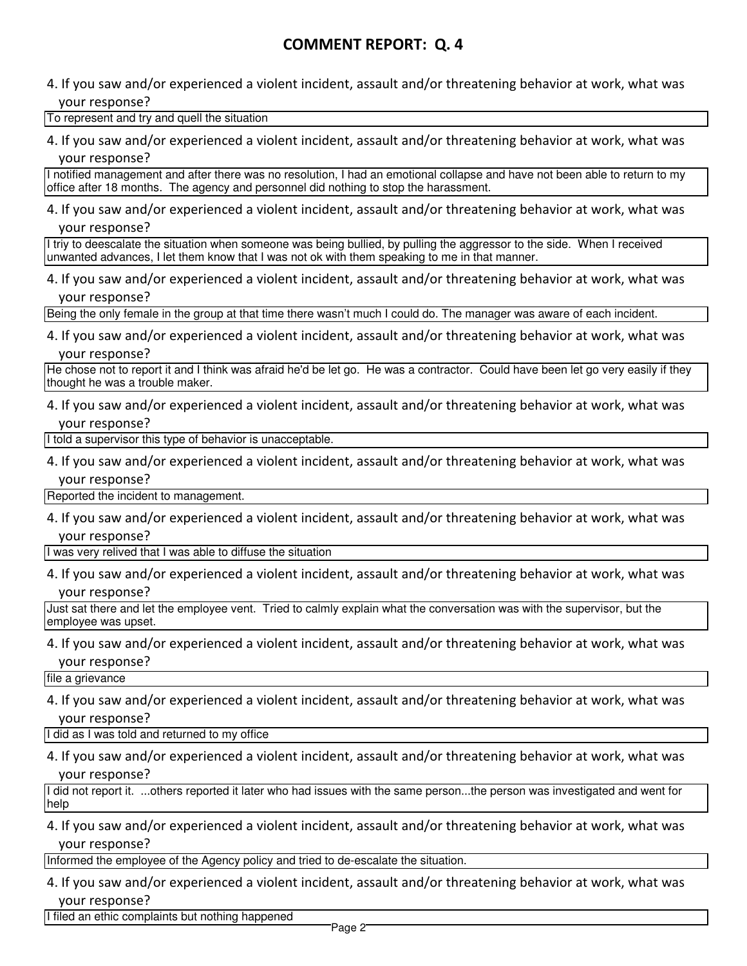4. If you saw and/or experienced a violent incident, assault and/or threatening behavior at work, what was your response?

To represent and try and quell the situation

4. If you saw and/or experienced a violent incident, assault and/or threatening behavior at work, what was your response?

I notified management and after there was no resolution, I had an emotional collapse and have not been able to return to my office after 18 months. The agency and personnel did nothing to stop the harassment.

4. If you saw and/or experienced a violent incident, assault and/or threatening behavior at work, what was your response?

I triy to deescalate the situation when someone was being bullied, by pulling the aggressor to the side. When I received unwanted advances, I let them know that I was not ok with them speaking to me in that manner.

4. If you saw and/or experienced a violent incident, assault and/or threatening behavior at work, what was your response?

Being the only female in the group at that time there wasn't much I could do. The manager was aware of each incident.

4. If you saw and/or experienced a violent incident, assault and/or threatening behavior at work, what was your response?

He chose not to report it and I think was afraid he'd be let go. He was a contractor. Could have been let go very easily if they thought he was a trouble maker.

4. If you saw and/or experienced a violent incident, assault and/or threatening behavior at work, what was your response?

I told a supervisor this type of behavior is unacceptable.

4. If you saw and/or experienced a violent incident, assault and/or threatening behavior at work, what was your response?

Reported the incident to management.

4. If you saw and/or experienced a violent incident, assault and/or threatening behavior at work, what was your response?

I was very relived that I was able to diffuse the situation

4. If you saw and/or experienced a violent incident, assault and/or threatening behavior at work, what was your response?

Just sat there and let the employee vent. Tried to calmly explain what the conversation was with the supervisor, but the employee was upset.

4. If you saw and/or experienced a violent incident, assault and/or threatening behavior at work, what was your response?

file a grievance

4. If you saw and/or experienced a violent incident, assault and/or threatening behavior at work, what was your response?

I did as I was told and returned to my office

4. If you saw and/or experienced a violent incident, assault and/or threatening behavior at work, what was your response?

I did not report it. ...others reported it later who had issues with the same person...the person was investigated and went for help

4. If you saw and/or experienced a violent incident, assault and/or threatening behavior at work, what was your response?

Informed the employee of the Agency policy and tried to de-escalate the situation.

4. If you saw and/or experienced a violent incident, assault and/or threatening behavior at work, what was your response?

I filed an ethic complaints but nothing happened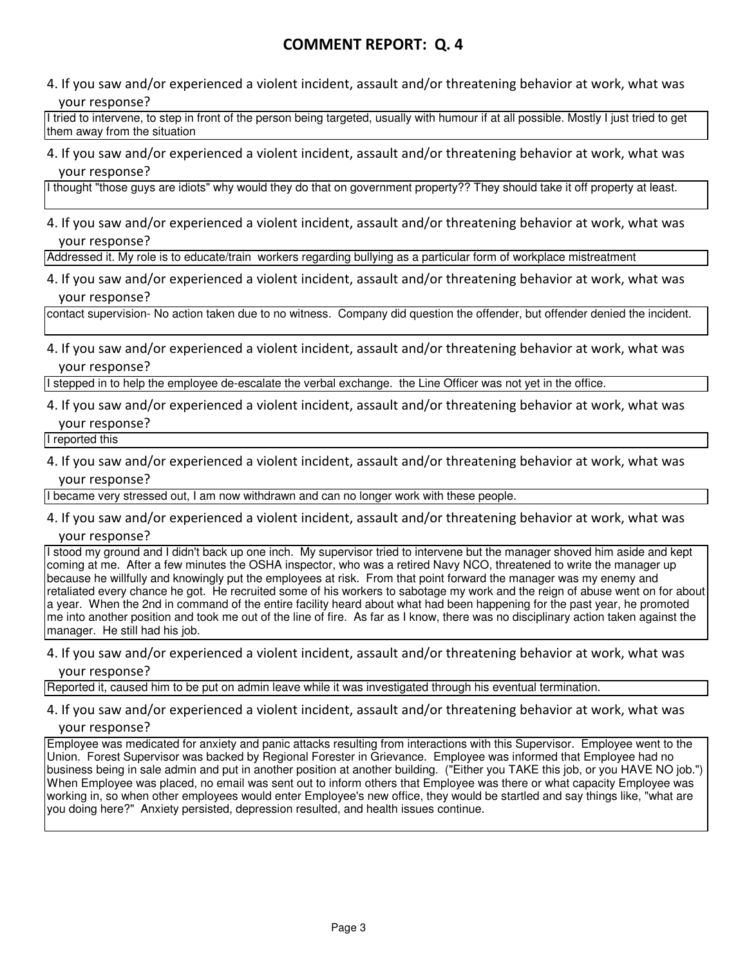4. If you saw and/or experienced a violent incident, assault and/or threatening behavior at work, what was your response?

I tried to intervene, to step in front of the person being targeted, usually with humour if at all possible. Mostly I just tried to get them away from the situation

4. If you saw and/or experienced a violent incident, assault and/or threatening behavior at work, what was your response?

I thought "those guys are idiots" why would they do that on government property?? They should take it off property at least.

4. If you saw and/or experienced a violent incident, assault and/or threatening behavior at work, what was your response?

Addressed it. My role is to educate/train workers regarding bullying as a particular form of workplace mistreatment

4. If you saw and/or experienced a violent incident, assault and/or threatening behavior at work, what was your response?

contact supervision- No action taken due to no witness. Company did question the offender, but offender denied the incident.

4. If you saw and/or experienced a violent incident, assault and/or threatening behavior at work, what was your response?

I stepped in to help the employee de-escalate the verbal exchange. the Line Officer was not yet in the office.

4. If you saw and/or experienced a violent incident, assault and/or threatening behavior at work, what was your response?

I reported this

4. If you saw and/or experienced a violent incident, assault and/or threatening behavior at work, what was your response?

I became very stressed out, I am now withdrawn and can no longer work with these people.

4. If you saw and/or experienced a violent incident, assault and/or threatening behavior at work, what was your response?

I stood my ground and I didn't back up one inch. My supervisor tried to intervene but the manager shoved him aside and kept coming at me. After a few minutes the OSHA inspector, who was a retired Navy NCO, threatened to write the manager up because he willfully and knowingly put the employees at risk. From that point forward the manager was my enemy and retaliated every chance he got. He recruited some of his workers to sabotage my work and the reign of abuse went on for about a year. When the 2nd in command of the entire facility heard about what had been happening for the past year, he promoted me into another position and took me out of the line of fire. As far as I know, there was no disciplinary action taken against the manager. He still had his job.

4. If you saw and/or experienced a violent incident, assault and/or threatening behavior at work, what was your response?

Reported it, caused him to be put on admin leave while it was investigated through his eventual termination.

## 4. If you saw and/or experienced a violent incident, assault and/or threatening behavior at work, what was your response?

Employee was medicated for anxiety and panic attacks resulting from interactions with this Supervisor. Employee went to the Union. Forest Supervisor was backed by Regional Forester in Grievance. Employee was informed that Employee had no business being in sale admin and put in another position at another building. ("Either you TAKE this job, or you HAVE NO job.") When Employee was placed, no email was sent out to inform others that Employee was there or what capacity Employee was working in, so when other employees would enter Employee's new office, they would be startled and say things like, "what are you doing here?" Anxiety persisted, depression resulted, and health issues continue.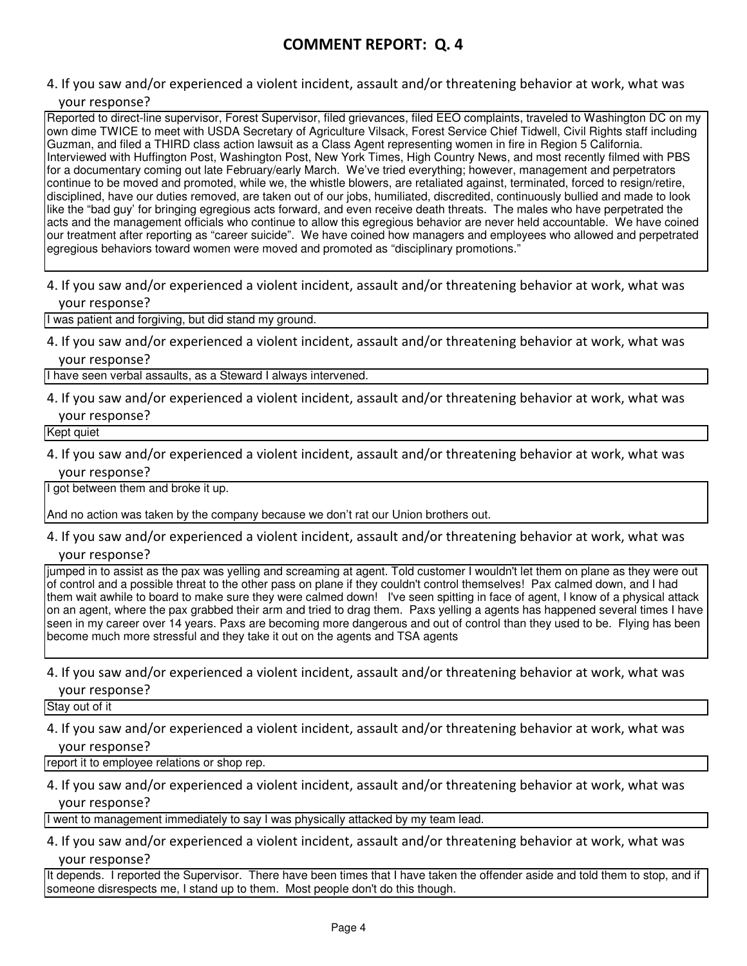4. If you saw and/or experienced a violent incident, assault and/or threatening behavior at work, what was your response?

Reported to direct-line supervisor, Forest Supervisor, filed grievances, filed EEO complaints, traveled to Washington DC on my own dime TWICE to meet with USDA Secretary of Agriculture Vilsack, Forest Service Chief Tidwell, Civil Rights staff including Guzman, and filed a THIRD class action lawsuit as a Class Agent representing women in fire in Region 5 California. Interviewed with Huffington Post, Washington Post, New York Times, High Country News, and most recently filmed with PBS for a documentary coming out late February/early March. We've tried everything; however, management and perpetrators continue to be moved and promoted, while we, the whistle blowers, are retaliated against, terminated, forced to resign/retire, disciplined, have our duties removed, are taken out of our jobs, humiliated, discredited, continuously bullied and made to look like the "bad guy' for bringing egregious acts forward, and even receive death threats. The males who have perpetrated the acts and the management officials who continue to allow this egregious behavior are never held accountable. We have coined our treatment after reporting as "career suicide". We have coined how managers and employees who allowed and perpetrated egregious behaviors toward women were moved and promoted as "disciplinary promotions."

4. If you saw and/or experienced a violent incident, assault and/or threatening behavior at work, what was your response?

I was patient and forgiving, but did stand my ground.

4. If you saw and/or experienced a violent incident, assault and/or threatening behavior at work, what was your response?

I have seen verbal assaults, as a Steward I always intervened.

4. If you saw and/or experienced a violent incident, assault and/or threatening behavior at work, what was

your response?

Kept quiet

4. If you saw and/or experienced a violent incident, assault and/or threatening behavior at work, what was your response?

I got between them and broke it up.

And no action was taken by the company because we don't rat our Union brothers out.

4. If you saw and/or experienced a violent incident, assault and/or threatening behavior at work, what was your response?

jumped in to assist as the pax was yelling and screaming at agent. Told customer I wouldn't let them on plane as they were out of control and a possible threat to the other pass on plane if they couldn't control themselves! Pax calmed down, and I had them wait awhile to board to make sure they were calmed down! I've seen spitting in face of agent, I know of a physical attack on an agent, where the pax grabbed their arm and tried to drag them. Paxs yelling a agents has happened several times I have seen in my career over 14 years. Paxs are becoming more dangerous and out of control than they used to be. Flying has been become much more stressful and they take it out on the agents and TSA agents

4. If you saw and/or experienced a violent incident, assault and/or threatening behavior at work, what was your response?

Stay out of it

4. If you saw and/or experienced a violent incident, assault and/or threatening behavior at work, what was your response?

report it to employee relations or shop rep.

4. If you saw and/or experienced a violent incident, assault and/or threatening behavior at work, what was your response?

I went to management immediately to say I was physically attacked by my team lead.

4. If you saw and/or experienced a violent incident, assault and/or threatening behavior at work, what was your response?

It depends. I reported the Supervisor. There have been times that I have taken the offender aside and told them to stop, and if someone disrespects me, I stand up to them. Most people don't do this though.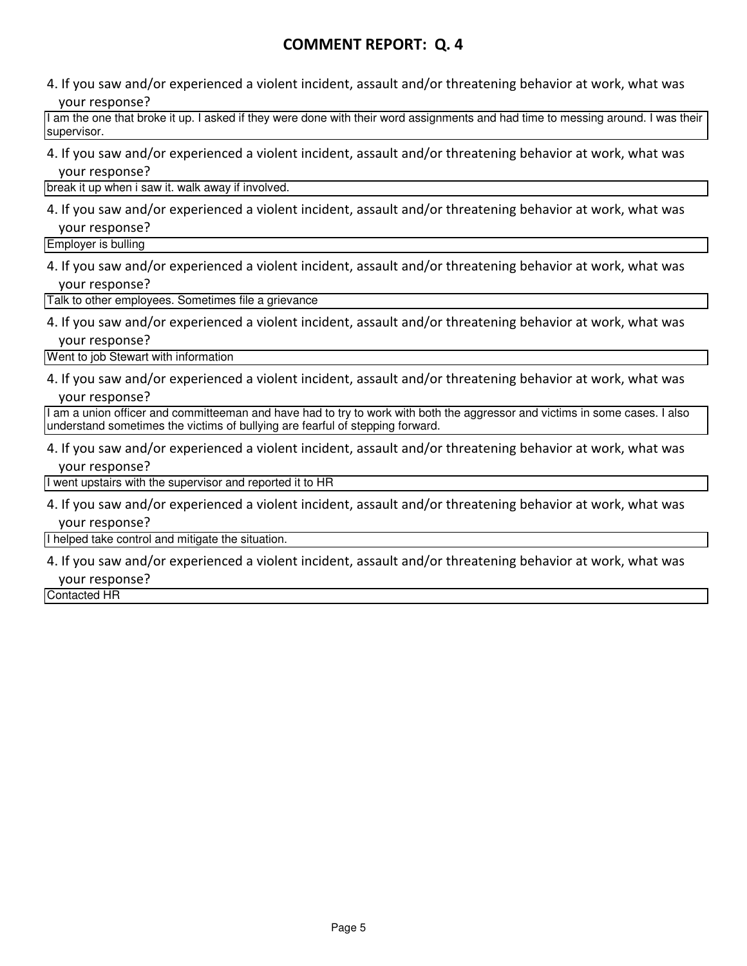4. If you saw and/or experienced a violent incident, assault and/or threatening behavior at work, what was your response?

I am the one that broke it up. I asked if they were done with their word assignments and had time to messing around. I was their supervisor.

4. If you saw and/or experienced a violent incident, assault and/or threatening behavior at work, what was your response?

break it up when i saw it. walk away if involved.

4. If you saw and/or experienced a violent incident, assault and/or threatening behavior at work, what was your response?

Employer is bulling

4. If you saw and/or experienced a violent incident, assault and/or threatening behavior at work, what was your response?

Talk to other employees. Sometimes file a grievance

4. If you saw and/or experienced a violent incident, assault and/or threatening behavior at work, what was your response?

Went to job Stewart with information

4. If you saw and/or experienced a violent incident, assault and/or threatening behavior at work, what was your response?

I am a union officer and committeeman and have had to try to work with both the aggressor and victims in some cases. I also understand sometimes the victims of bullying are fearful of stepping forward.

4. If you saw and/or experienced a violent incident, assault and/or threatening behavior at work, what was your response?

I went upstairs with the supervisor and reported it to HR

4. If you saw and/or experienced a violent incident, assault and/or threatening behavior at work, what was your response?

I helped take control and mitigate the situation.

4. If you saw and/or experienced a violent incident, assault and/or threatening behavior at work, what was your response?

Contacted HR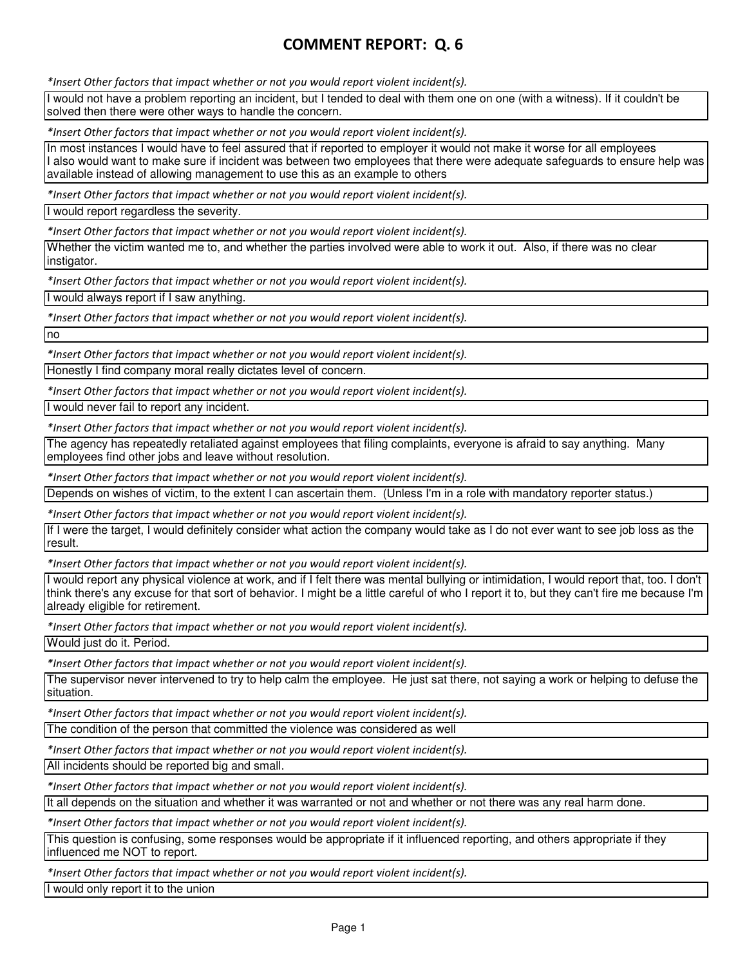\*Insert Other factors that impact whether or not you would report violent incident(s).

I would not have a problem reporting an incident, but I tended to deal with them one on one (with a witness). If it couldn't be solved then there were other ways to handle the concern.

\*Insert Other factors that impact whether or not you would report violent incident(s).

In most instances I would have to feel assured that if reported to employer it would not make it worse for all employees I also would want to make sure if incident was between two employees that there were adequate safeguards to ensure help was available instead of allowing management to use this as an example to others

\*Insert Other factors that impact whether or not you would report violent incident(s).

I would report regardless the severity.

\*Insert Other factors that impact whether or not you would report violent incident(s).

Whether the victim wanted me to, and whether the parties involved were able to work it out. Also, if there was no clear instigator.

\*Insert Other factors that impact whether or not you would report violent incident(s).

I would always report if I saw anything.

\*Insert Other factors that impact whether or not you would report violent incident(s).

no

\*Insert Other factors that impact whether or not you would report violent incident(s).

Honestly I find company moral really dictates level of concern.

\*Insert Other factors that impact whether or not you would report violent incident(s).

I would never fail to report any incident.

\*Insert Other factors that impact whether or not you would report violent incident(s).

The agency has repeatedly retaliated against employees that filing complaints, everyone is afraid to say anything. Many employees find other jobs and leave without resolution.

\*Insert Other factors that impact whether or not you would report violent incident(s).

Depends on wishes of victim, to the extent I can ascertain them. (Unless I'm in a role with mandatory reporter status.)

\*Insert Other factors that impact whether or not you would report violent incident(s).

If I were the target, I would definitely consider what action the company would take as I do not ever want to see job loss as the result.

\*Insert Other factors that impact whether or not you would report violent incident(s).

I would report any physical violence at work, and if I felt there was mental bullying or intimidation, I would report that, too. I don't think there's any excuse for that sort of behavior. I might be a little careful of who I report it to, but they can't fire me because I'm already eligible for retirement.

\*Insert Other factors that impact whether or not you would report violent incident(s).

Would just do it. Period.

\*Insert Other factors that impact whether or not you would report violent incident(s).

The supervisor never intervened to try to help calm the employee. He just sat there, not saying a work or helping to defuse the situation.

\*Insert Other factors that impact whether or not you would report violent incident(s).

The condition of the person that committed the violence was considered as well

\*Insert Other factors that impact whether or not you would report violent incident(s).

All incidents should be reported big and small.

\*Insert Other factors that impact whether or not you would report violent incident(s).

It all depends on the situation and whether it was warranted or not and whether or not there was any real harm done.

\*Insert Other factors that impact whether or not you would report violent incident(s).

This question is confusing, some responses would be appropriate if it influenced reporting, and others appropriate if they influenced me NOT to report.

\*Insert Other factors that impact whether or not you would report violent incident(s).

I would only report it to the union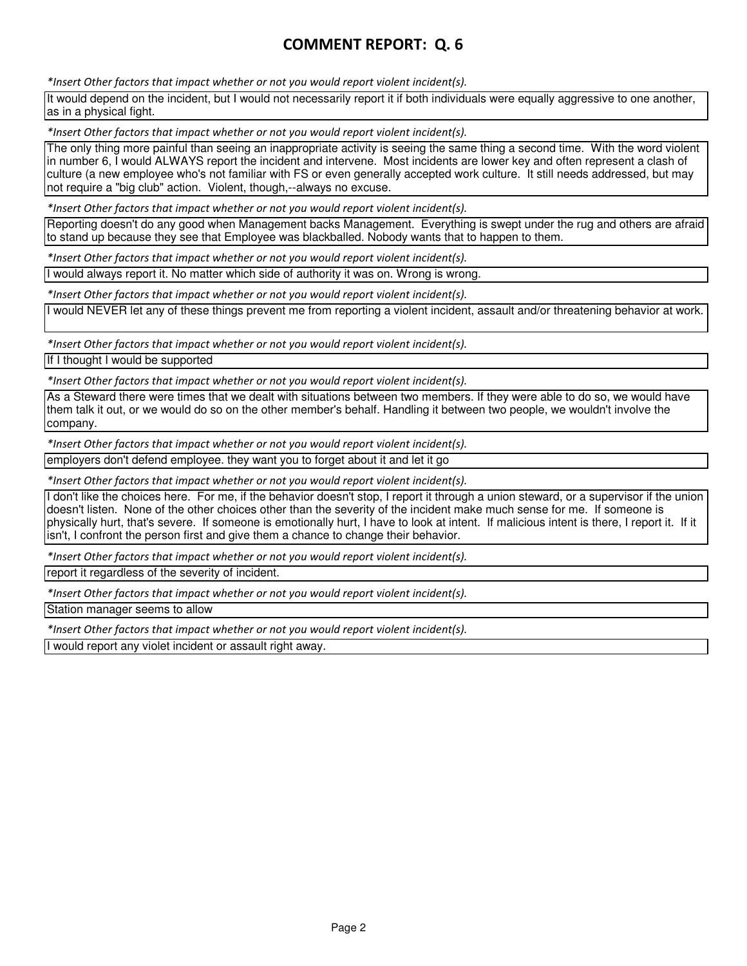\*Insert Other factors that impact whether or not you would report violent incident(s).

It would depend on the incident, but I would not necessarily report it if both individuals were equally aggressive to one another, as in a physical fight.

\*Insert Other factors that impact whether or not you would report violent incident(s).

The only thing more painful than seeing an inappropriate activity is seeing the same thing a second time. With the word violent in number 6, I would ALWAYS report the incident and intervene. Most incidents are lower key and often represent a clash of culture (a new employee who's not familiar with FS or even generally accepted work culture. It still needs addressed, but may not require a "big club" action. Violent, though,--always no excuse.

\*Insert Other factors that impact whether or not you would report violent incident(s).

Reporting doesn't do any good when Management backs Management. Everything is swept under the rug and others are afraid to stand up because they see that Employee was blackballed. Nobody wants that to happen to them.

\*Insert Other factors that impact whether or not you would report violent incident(s).

I would always report it. No matter which side of authority it was on. Wrong is wrong.

\*Insert Other factors that impact whether or not you would report violent incident(s).

I would NEVER let any of these things prevent me from reporting a violent incident, assault and/or threatening behavior at work.

\*Insert Other factors that impact whether or not you would report violent incident(s). If I thought I would be supported

\*Insert Other factors that impact whether or not you would report violent incident(s).

As a Steward there were times that we dealt with situations between two members. If they were able to do so, we would have them talk it out, or we would do so on the other member's behalf. Handling it between two people, we wouldn't involve the company.

\*Insert Other factors that impact whether or not you would report violent incident(s).

employers don't defend employee. they want you to forget about it and let it go

\*Insert Other factors that impact whether or not you would report violent incident(s).

I don't like the choices here. For me, if the behavior doesn't stop, I report it through a union steward, or a supervisor if the union doesn't listen. None of the other choices other than the severity of the incident make much sense for me. If someone is physically hurt, that's severe. If someone is emotionally hurt, I have to look at intent. If malicious intent is there, I report it. If it isn't, I confront the person first and give them a chance to change their behavior.

\*Insert Other factors that impact whether or not you would report violent incident(s).

report it regardless of the severity of incident.

\*Insert Other factors that impact whether or not you would report violent incident(s).

Station manager seems to allow

\*Insert Other factors that impact whether or not you would report violent incident(s).

I would report any violet incident or assault right away.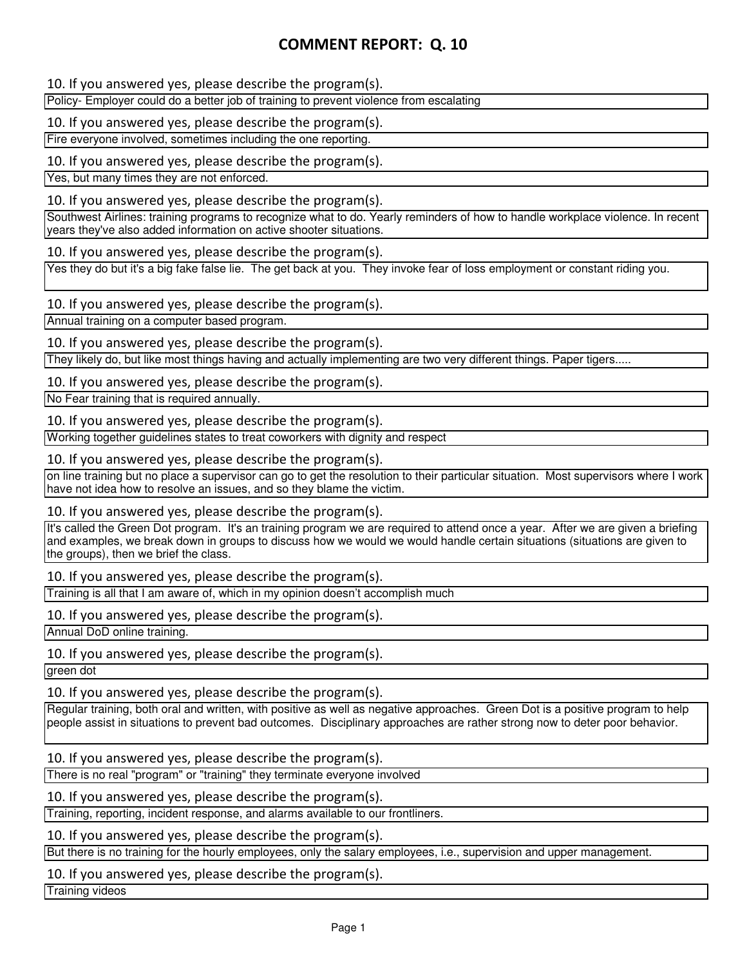10. If you answered yes, please describe the program(s).

Policy- Employer could do a better job of training to prevent violence from escalating

10. If you answered yes, please describe the program(s).

Fire everyone involved, sometimes including the one reporting.

10. If you answered yes, please describe the program(s).

Yes, but many times they are not enforced.

10. If you answered yes, please describe the program(s).

Southwest Airlines: training programs to recognize what to do. Yearly reminders of how to handle workplace violence. In recent years they've also added information on active shooter situations.

10. If you answered yes, please describe the program(s).

Yes they do but it's a big fake false lie. The get back at you. They invoke fear of loss employment or constant riding you.

10. If you answered yes, please describe the program(s).

Annual training on a computer based program.

10. If you answered yes, please describe the program(s).

They likely do, but like most things having and actually implementing are two very different things. Paper tigers.....

10. If you answered yes, please describe the program(s).

No Fear training that is required annually.

10. If you answered yes, please describe the program(s).

Working together guidelines states to treat coworkers with dignity and respect

10. If you answered yes, please describe the program(s).

on line training but no place a supervisor can go to get the resolution to their particular situation. Most supervisors where I work have not idea how to resolve an issues, and so they blame the victim.

10. If you answered yes, please describe the program(s).

It's called the Green Dot program. It's an training program we are required to attend once a year. After we are given a briefing and examples, we break down in groups to discuss how we would we would handle certain situations (situations are given to the groups), then we brief the class.

10. If you answered yes, please describe the program(s).

Training is all that I am aware of, which in my opinion doesn't accomplish much

10. If you answered yes, please describe the program(s).

Annual DoD online training.

10. If you answered yes, please describe the program(s).

green dot

10. If you answered yes, please describe the program(s).

Regular training, both oral and written, with positive as well as negative approaches. Green Dot is a positive program to help people assist in situations to prevent bad outcomes. Disciplinary approaches are rather strong now to deter poor behavior.

10. If you answered yes, please describe the program(s).

There is no real "program" or "training" they terminate everyone involved

10. If you answered yes, please describe the program(s).

Training, reporting, incident response, and alarms available to our frontliners.

10. If you answered yes, please describe the program(s).

But there is no training for the hourly employees, only the salary employees, i.e., supervision and upper management.

10. If you answered yes, please describe the program(s).

Training videos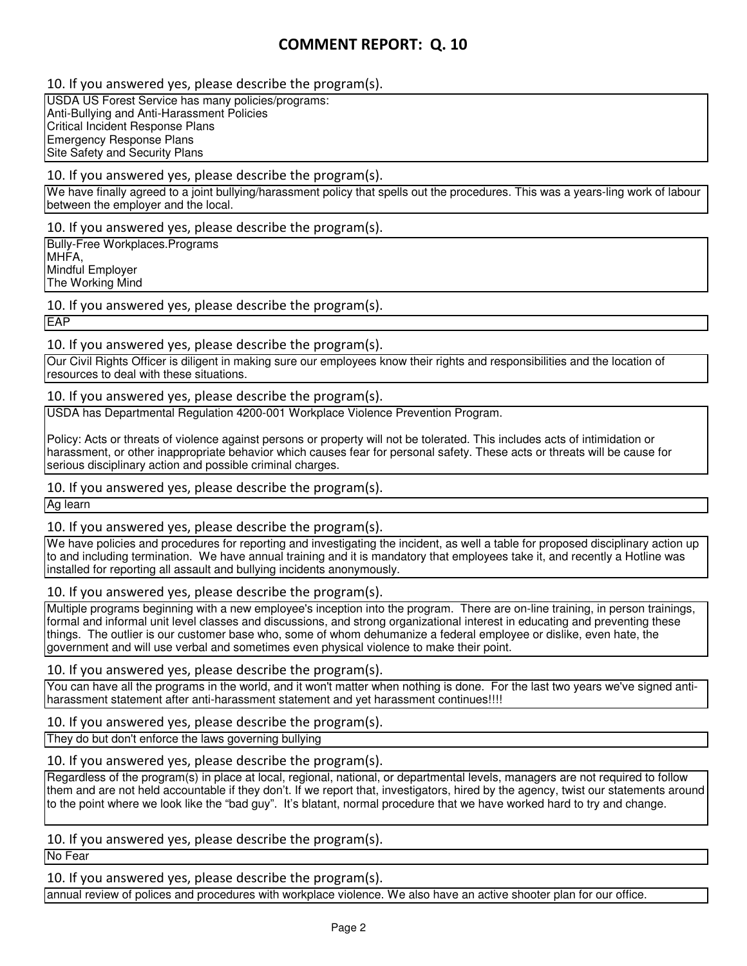10. If you answered yes, please describe the program(s).

USDA US Forest Service has many policies/programs: Anti-Bullying and Anti-Harassment Policies Critical Incident Response Plans Emergency Response Plans Site Safety and Security Plans

## 10. If you answered yes, please describe the program(s).

We have finally agreed to a joint bullying/harassment policy that spells out the procedures. This was a years-ling work of labour between the employer and the local.

10. If you answered yes, please describe the program(s).

Bully-Free Workplaces.Programs MHFA, Mindful Employer The Working Mind

10. If you answered yes, please describe the program(s).

**EAP** 

## 10. If you answered yes, please describe the program(s).

Our Civil Rights Officer is diligent in making sure our employees know their rights and responsibilities and the location of resources to deal with these situations.

## 10. If you answered yes, please describe the program(s).

USDA has Departmental Regulation 4200-001 Workplace Violence Prevention Program.

Policy: Acts or threats of violence against persons or property will not be tolerated. This includes acts of intimidation or harassment, or other inappropriate behavior which causes fear for personal safety. These acts or threats will be cause for serious disciplinary action and possible criminal charges.

10. If you answered yes, please describe the program(s).

Ag learn

10. If you answered yes, please describe the program(s).

We have policies and procedures for reporting and investigating the incident, as well a table for proposed disciplinary action up to and including termination. We have annual training and it is mandatory that employees take it, and recently a Hotline was installed for reporting all assault and bullying incidents anonymously.

## 10. If you answered yes, please describe the program(s).

Multiple programs beginning with a new employee's inception into the program. There are on-line training, in person trainings, formal and informal unit level classes and discussions, and strong organizational interest in educating and preventing these things. The outlier is our customer base who, some of whom dehumanize a federal employee or dislike, even hate, the government and will use verbal and sometimes even physical violence to make their point.

## 10. If you answered yes, please describe the program(s).

You can have all the programs in the world, and it won't matter when nothing is done. For the last two years we've signed antiharassment statement after anti-harassment statement and yet harassment continues!!!!

10. If you answered yes, please describe the program(s).

They do but don't enforce the laws governing bullying

## 10. If you answered yes, please describe the program(s).

Regardless of the program(s) in place at local, regional, national, or departmental levels, managers are not required to follow them and are not held accountable if they don't. If we report that, investigators, hired by the agency, twist our statements around to the point where we look like the "bad guy". It's blatant, normal procedure that we have worked hard to try and change.

## 10. If you answered yes, please describe the program(s).

No Fear

10. If you answered yes, please describe the program(s).

annual review of polices and procedures with workplace violence. We also have an active shooter plan for our office.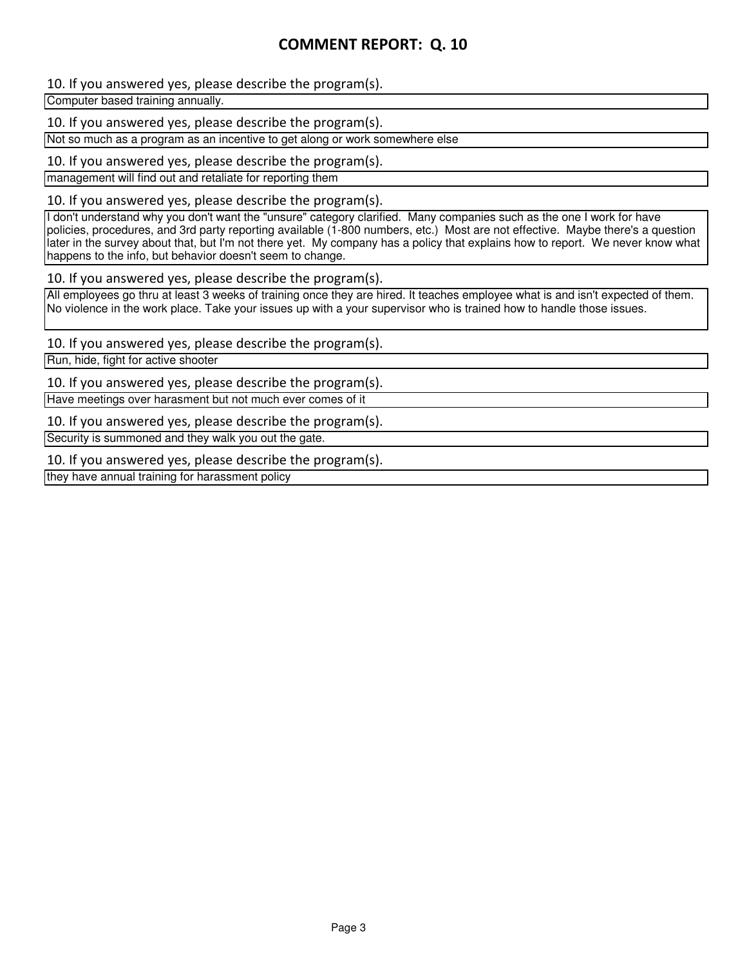## 10. If you answered yes, please describe the program(s).

Computer based training annually.

10. If you answered yes, please describe the program(s).

Not so much as a program as an incentive to get along or work somewhere else

10. If you answered yes, please describe the program(s).

management will find out and retaliate for reporting them

10. If you answered yes, please describe the program(s).

I don't understand why you don't want the "unsure" category clarified. Many companies such as the one I work for have policies, procedures, and 3rd party reporting available (1-800 numbers, etc.) Most are not effective. Maybe there's a question later in the survey about that, but I'm not there yet. My company has a policy that explains how to report. We never know what happens to the info, but behavior doesn't seem to change.

10. If you answered yes, please describe the program(s).

All employees go thru at least 3 weeks of training once they are hired. It teaches employee what is and isn't expected of them. No violence in the work place. Take your issues up with a your supervisor who is trained how to handle those issues.

10. If you answered yes, please describe the program(s).

Run, hide, fight for active shooter

10. If you answered yes, please describe the program(s).

Have meetings over harasment but not much ever comes of it

10. If you answered yes, please describe the program(s).

Security is summoned and they walk you out the gate.

10. If you answered yes, please describe the program(s).

they have annual training for harassment policy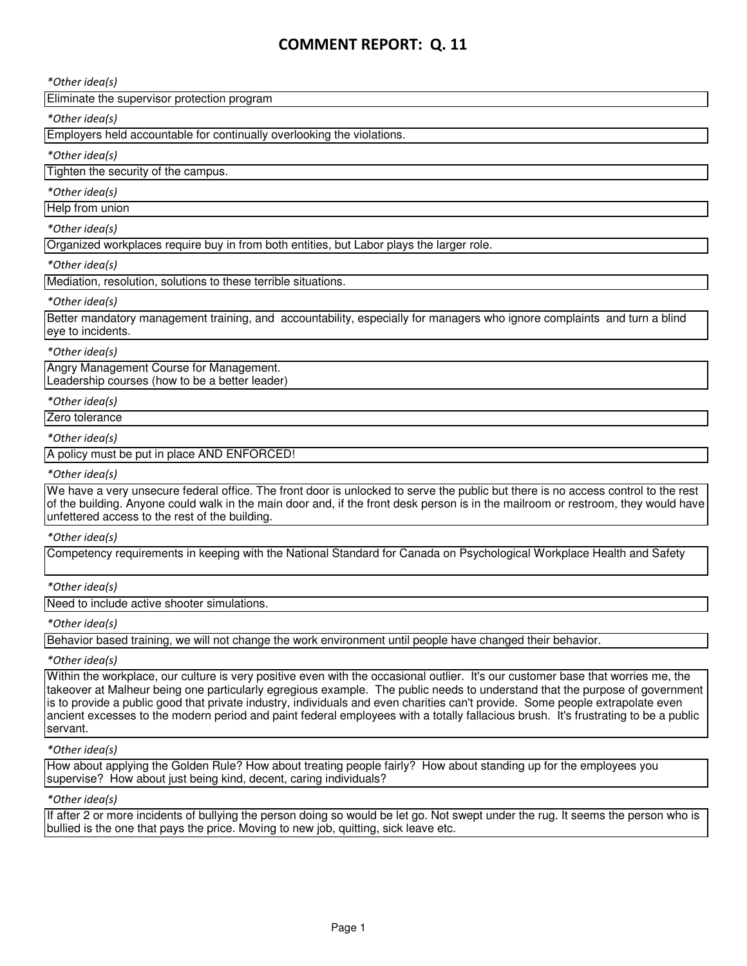\*Other idea(s)

Eliminate the supervisor protection program

#### \*Other idea(s)

Employers held accountable for continually overlooking the violations.

## \*Other idea(s)

Tighten the security of the campus.

#### \*Other idea(s)

Help from union

#### \*Other idea(s)

Organized workplaces require buy in from both entities, but Labor plays the larger role.

#### \*Other idea(s)

Mediation, resolution, solutions to these terrible situations.

#### \*Other idea(s)

Better mandatory management training, and accountability, especially for managers who ignore complaints and turn a blind eye to incidents.

#### \*Other idea(s)

Angry Management Course for Management. Leadership courses (how to be a better leader)

#### \*Other idea(s)

Zero tolerance

## \*Other idea(s)

A policy must be put in place AND ENFORCED!

#### \*Other idea(s)

We have a very unsecure federal office. The front door is unlocked to serve the public but there is no access control to the rest of the building. Anyone could walk in the main door and, if the front desk person is in the mailroom or restroom, they would have unfettered access to the rest of the building.

#### \*Other idea(s)

Competency requirements in keeping with the National Standard for Canada on Psychological Workplace Health and Safety

## \*Other idea(s)

Need to include active shooter simulations.

#### \*Other idea(s)

Behavior based training, we will not change the work environment until people have changed their behavior.

## \*Other idea(s)

Within the workplace, our culture is very positive even with the occasional outlier. It's our customer base that worries me, the takeover at Malheur being one particularly egregious example. The public needs to understand that the purpose of government is to provide a public good that private industry, individuals and even charities can't provide. Some people extrapolate even ancient excesses to the modern period and paint federal employees with a totally fallacious brush. It's frustrating to be a public servant.

#### \*Other idea(s)

How about applying the Golden Rule? How about treating people fairly? How about standing up for the employees you supervise? How about just being kind, decent, caring individuals?

#### \*Other idea(s)

If after 2 or more incidents of bullying the person doing so would be let go. Not swept under the rug. It seems the person who is bullied is the one that pays the price. Moving to new job, quitting, sick leave etc.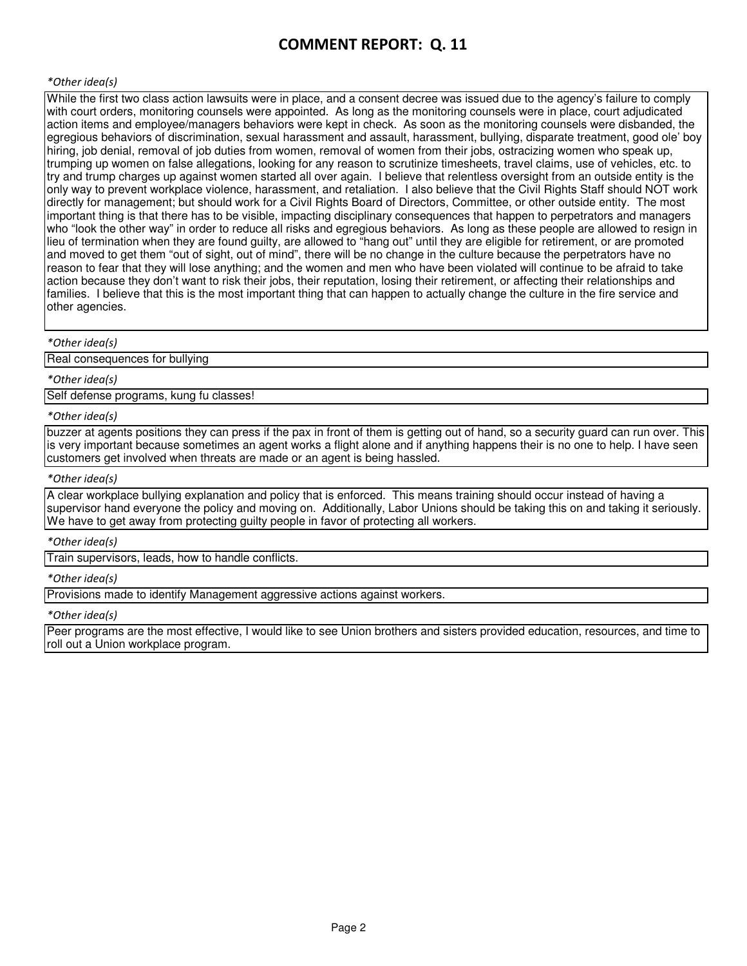#### \*Other idea(s)

While the first two class action lawsuits were in place, and a consent decree was issued due to the agency's failure to comply with court orders, monitoring counsels were appointed. As long as the monitoring counsels were in place, court adjudicated action items and employee/managers behaviors were kept in check. As soon as the monitoring counsels were disbanded, the egregious behaviors of discrimination, sexual harassment and assault, harassment, bullying, disparate treatment, good ole' boy hiring, job denial, removal of job duties from women, removal of women from their jobs, ostracizing women who speak up, trumping up women on false allegations, looking for any reason to scrutinize timesheets, travel claims, use of vehicles, etc. to try and trump charges up against women started all over again. I believe that relentless oversight from an outside entity is the only way to prevent workplace violence, harassment, and retaliation. I also believe that the Civil Rights Staff should NOT work directly for management; but should work for a Civil Rights Board of Directors, Committee, or other outside entity. The most important thing is that there has to be visible, impacting disciplinary consequences that happen to perpetrators and managers who "look the other way" in order to reduce all risks and egregious behaviors. As long as these people are allowed to resign in lieu of termination when they are found guilty, are allowed to "hang out" until they are eligible for retirement, or are promoted and moved to get them "out of sight, out of mind", there will be no change in the culture because the perpetrators have no reason to fear that they will lose anything; and the women and men who have been violated will continue to be afraid to take action because they don't want to risk their jobs, their reputation, losing their retirement, or affecting their relationships and families. I believe that this is the most important thing that can happen to actually change the culture in the fire service and other agencies.

#### \*Other idea(s)

Real consequences for bullying

#### \*Other idea(s)

Self defense programs, kung fu classes!

#### \*Other idea(s)

buzzer at agents positions they can press if the pax in front of them is getting out of hand, so a security guard can run over. This is very important because sometimes an agent works a flight alone and if anything happens their is no one to help. I have seen customers get involved when threats are made or an agent is being hassled.

#### \*Other idea(s)

A clear workplace bullying explanation and policy that is enforced. This means training should occur instead of having a supervisor hand everyone the policy and moving on. Additionally, Labor Unions should be taking this on and taking it seriously. We have to get away from protecting guilty people in favor of protecting all workers.

#### \*Other idea(s)

Train supervisors, leads, how to handle conflicts.

#### \*Other idea(s)

Provisions made to identify Management aggressive actions against workers.

#### \*Other idea(s)

Peer programs are the most effective, I would like to see Union brothers and sisters provided education, resources, and time to roll out a Union workplace program.